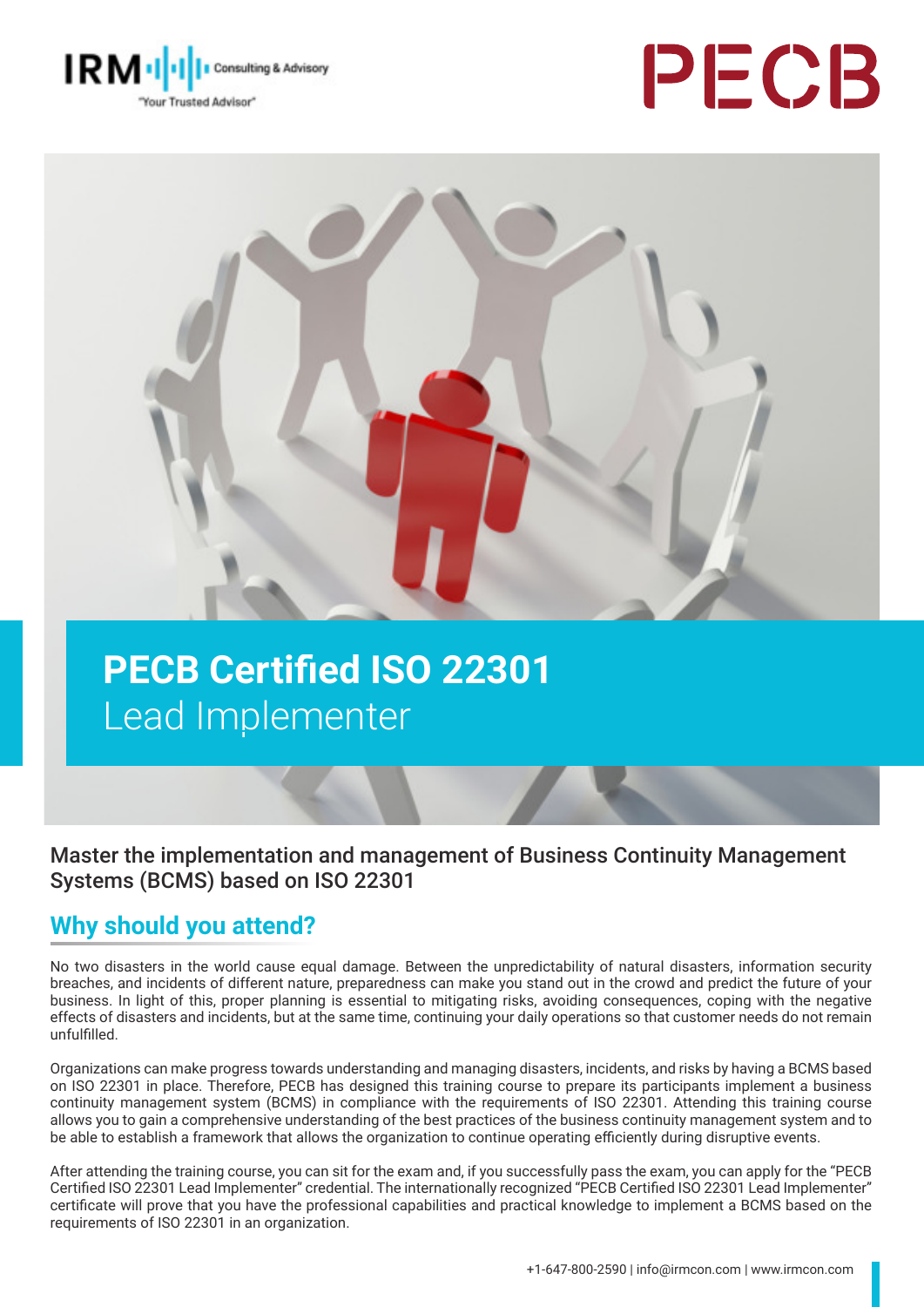





# **PECB Certified ISO 22301**  Lead Implementer

Master the implementation and management of Business Continuity Management Systems (BCMS) based on ISO 22301

### **Why should you attend?**

No two disasters in the world cause equal damage. Between the unpredictability of natural disasters, information security breaches, and incidents of different nature, preparedness can make you stand out in the crowd and predict the future of your business. In light of this, proper planning is essential to mitigating risks, avoiding consequences, coping with the negative effects of disasters and incidents, but at the same time, continuing your daily operations so that customer needs do not remain unfulfilled.

Organizations can make progress towards understanding and managing disasters, incidents, and risks by having a BCMS based on ISO 22301 in place. Therefore, PECB has designed this training course to prepare its participants implement a business continuity management system (BCMS) in compliance with the requirements of ISO 22301. Attending this training course allows you to gain a comprehensive understanding of the best practices of the business continuity management system and to be able to establish a framework that allows the organization to continue operating efficiently during disruptive events.

After attending the training course, you can sit for the exam and, if you successfully pass the exam, you can apply for the "PECB Certified ISO 22301 Lead Implementer" credential. The internationally recognized "PECB Certified ISO 22301 Lead Implementer" certificate will prove that you have the professional capabilities and practical knowledge to implement a BCMS based on the requirements of ISO 22301 in an organization.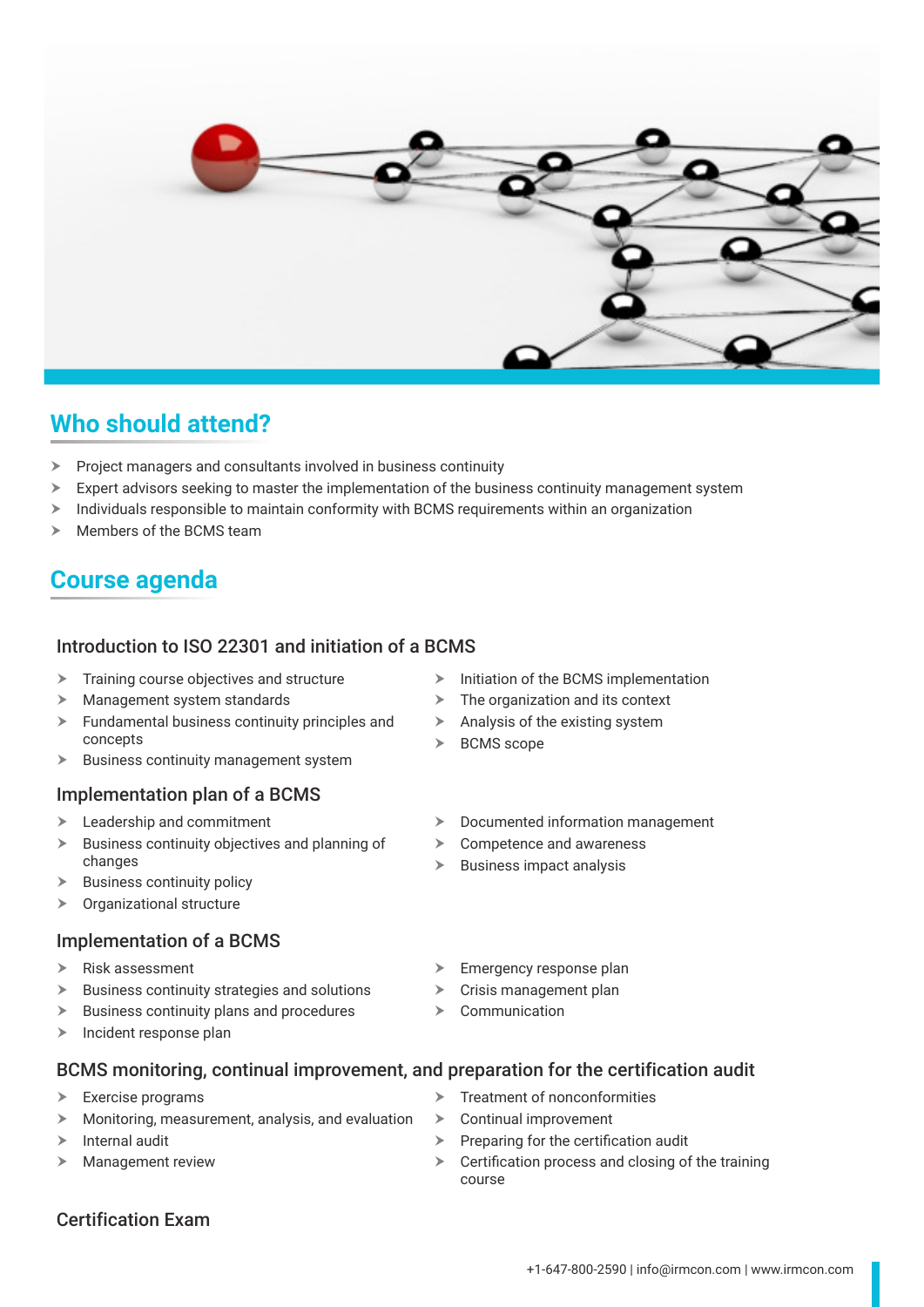

### **Who should attend?**

- $\triangleright$  Project managers and consultants involved in business continuity
- $\triangleright$  Expert advisors seeking to master the implementation of the business continuity management system
- $\geq$  Individuals responsible to maintain conformity with BCMS requirements within an organization
- Members of the BCMS team

### **Course agenda**

### Introduction to ISO 22301 and initiation of a BCMS

- $\triangleright$  Training course objectives and structure
- $\blacktriangleright$  Management system standards
- $\blacktriangleright$  Fundamental business continuity principles and concepts
- $\blacktriangleright$  Business continuity management system

#### Implementation plan of a BCMS

- $\blacktriangleright$  Leadership and commitment
- $\triangleright$  Business continuity objectives and planning of changes
- $\blacktriangleright$  Business continuity policy
- $\triangleright$  Organizational structure

#### Implementation of a BCMS

- $\triangleright$  Risk assessment
- $\triangleright$  Business continuity strategies and solutions
- $\triangleright$  Business continuity plans and procedures
- $\triangleright$  Incident response plan
- $\triangleright$  Initiation of the BCMS implementation
- $\triangleright$  The organization and its context
- $\blacktriangleright$  Analysis of the existing system
- $\triangleright$  BCMS scope
- $\blacktriangleright$  Documented information management
- $\triangleright$  Competence and awareness
- $\triangleright$  Business impact analysis
- $\blacktriangleright$  Emergency response plan
- $\triangleright$  Crisis management plan
- 

#### BCMS monitoring, continual improvement, and preparation for the certification audit

- $\triangleright$  Exercise programs
- $\blacktriangleright$  Monitoring, measurement, analysis, and evaluation
- $\triangleright$  Internal audit
- $\blacktriangleright$  Management review
- Treatment of nonconformities
- $\triangleright$  Continual improvement
- $\triangleright$  Preparing for the certification audit
- $\triangleright$  Certification process and closing of the training course
- 
- $\triangleright$  Communication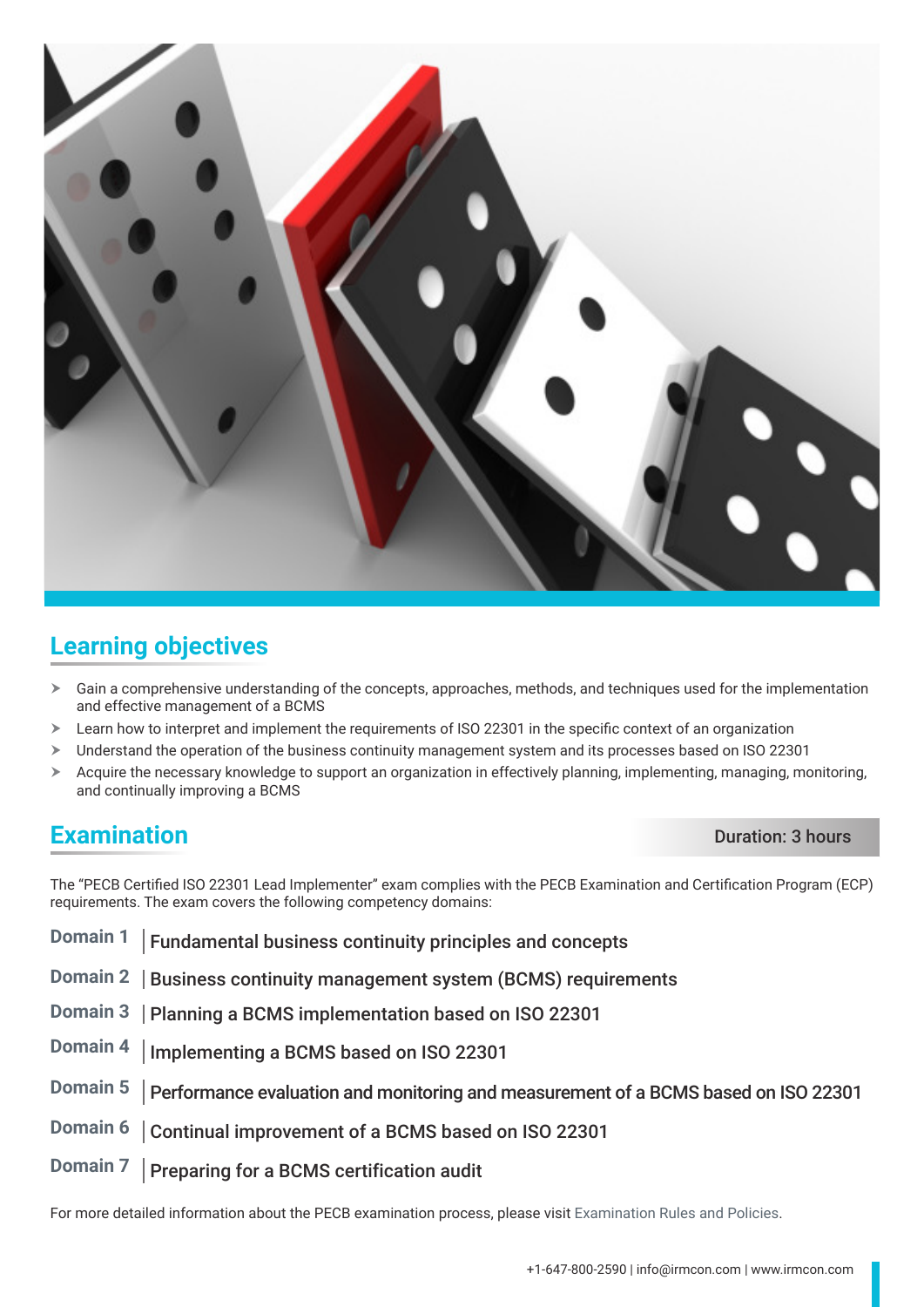

### **Learning objectives**

- $\triangleright$  Gain a comprehensive understanding of the concepts, approaches, methods, and techniques used for the implementation and effective management of a BCMS
- $\geq$  Learn how to interpret and implement the requirements of ISO 22301 in the specific context of an organization
- > Understand the operation of the business continuity management system and its processes based on ISO 22301
- $\triangleright$  Acquire the necessary knowledge to support an organization in effectively planning, implementing, managing, monitoring, and continually improving a BCMS

### **Examination** Duration: 3 hours

The "PECB Certified ISO 22301 Lead Implementer" exam complies with the PECB Examination and Certification Program (ECP) requirements. The exam covers the following competency domains:

- **Domain 1** Fundamental business continuity principles and concepts
- **Domain 2** | Business continuity management system (BCMS) requirements
- **Domain 3** | Planning a BCMS implementation based on ISO 22301
- **Domain 4** Implementing a BCMS based on ISO 22301
- **Domain 5** Performance evaluation and monitoring and measurement of a BCMS based on ISO 22301
- **Domain 6** | Continual improvement of a BCMS based on ISO 22301
- **Domain 7** | Preparing for a BCMS certification audit

For more detailed information about the PECB examination process, please visit [Examination Rules and Policies.](https://pecb.com/en/examination-rules-and-policies)